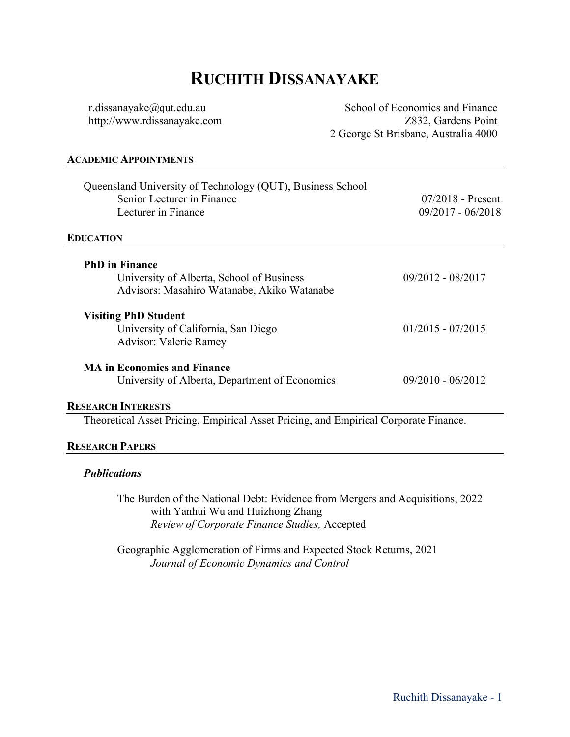# **RUCHITH DISSANAYAKE**

r.dissanayake@qut.edu.au http://www.rdissanayake.com School of Economics and Finance Z832, Gardens Point 2 George St Brisbane, Australia 4000

#### **ACADEMIC APPOINTMENTS**

| Queensland University of Technology (QUT), Business School<br>Senior Lecturer in Finance<br>Lecturer in Finance | 07/2018 - Present<br>$09/2017 - 06/2018$ |
|-----------------------------------------------------------------------------------------------------------------|------------------------------------------|
| <b>EDUCATION</b>                                                                                                |                                          |
| <b>PhD</b> in Finance                                                                                           |                                          |
| University of Alberta, School of Business                                                                       | 09/2012 - 08/2017                        |
| Advisors: Masahiro Watanabe, Akiko Watanabe                                                                     |                                          |
| <b>Visiting PhD Student</b>                                                                                     |                                          |
| University of California, San Diego                                                                             | $01/2015 - 07/2015$                      |
| Advisor: Valerie Ramey                                                                                          |                                          |
| <b>MA in Economics and Finance</b>                                                                              |                                          |
| University of Alberta, Department of Economics                                                                  | $09/2010 - 06/2012$                      |
| <b>RESEARCH INTERESTS</b>                                                                                       |                                          |
|                                                                                                                 |                                          |

Theoretical Asset Pricing, Empirical Asset Pricing, and Empirical Corporate Finance.

# **RESEARCH PAPERS**

### *Publications*

The Burden of the National Debt: Evidence from Mergers and Acquisitions, 2022 with Yanhui Wu and Huizhong Zhang *Review of Corporate Finance Studies,* Accepted

Geographic Agglomeration of Firms and Expected Stock Returns, 2021 *Journal of Economic Dynamics and Control*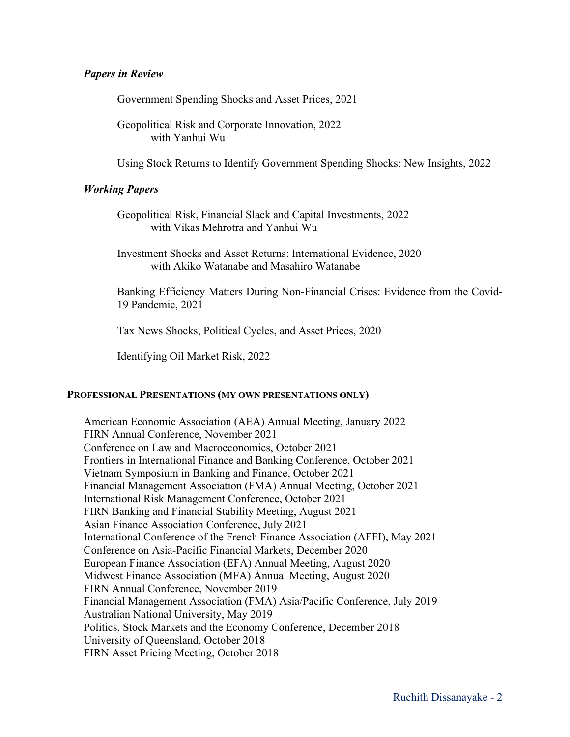# *Papers in Review*

Government Spending Shocks and Asset Prices, 2021

Geopolitical Risk and Corporate Innovation, 2022 with Yanhui Wu

Using Stock Returns to Identify Government Spending Shocks: New Insights, 2022

# *Working Papers*

Geopolitical Risk, Financial Slack and Capital Investments, 2022 with Vikas Mehrotra and Yanhui Wu

Investment Shocks and Asset Returns: International Evidence, 2020 with Akiko Watanabe and Masahiro Watanabe

Banking Efficiency Matters During Non-Financial Crises: Evidence from the Covid-19 Pandemic, 2021

Tax News Shocks, Political Cycles, and Asset Prices, 2020

Identifying Oil Market Risk, 2022

#### **PROFESSIONAL PRESENTATIONS (MY OWN PRESENTATIONS ONLY)**

American Economic Association (AEA) Annual Meeting, January 2022 FIRN Annual Conference, November 2021 Conference on Law and Macroeconomics, October 2021 Frontiers in International Finance and Banking Conference, October 2021 Vietnam Symposium in Banking and Finance, October 2021 Financial Management Association (FMA) Annual Meeting, October 2021 International Risk Management Conference, October 2021 FIRN Banking and Financial Stability Meeting, August 2021 Asian Finance Association Conference, July 2021 International Conference of the French Finance Association (AFFI), May 2021 Conference on Asia-Pacific Financial Markets, December 2020 European Finance Association (EFA) Annual Meeting, August 2020 Midwest Finance Association (MFA) Annual Meeting, August 2020 FIRN Annual Conference, November 2019 Financial Management Association (FMA) Asia/Pacific Conference, July 2019 Australian National University, May 2019 Politics, Stock Markets and the Economy Conference, December 2018 University of Queensland, October 2018 FIRN Asset Pricing Meeting, October 2018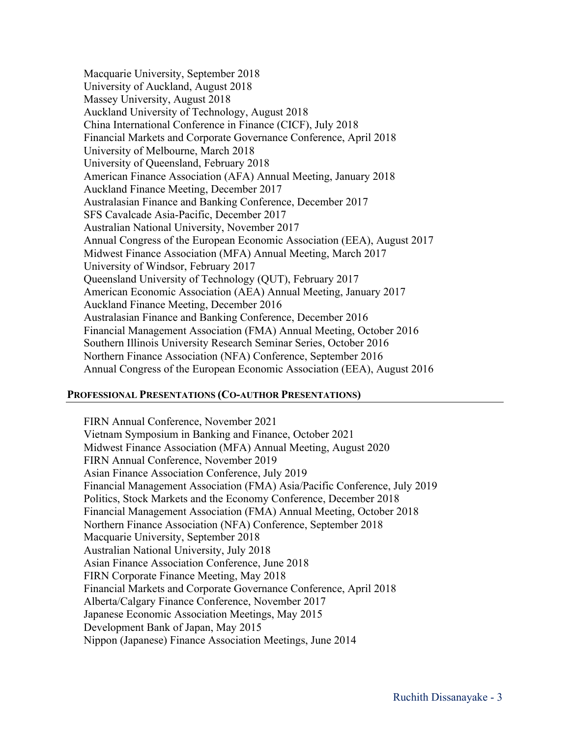Macquarie University, September 2018 University of Auckland, August 2018 Massey University, August 2018 Auckland University of Technology, August 2018 China International Conference in Finance (CICF), July 2018 Financial Markets and Corporate Governance Conference, April 2018 University of Melbourne, March 2018 University of Queensland, February 2018 American Finance Association (AFA) Annual Meeting, January 2018 Auckland Finance Meeting, December 2017 Australasian Finance and Banking Conference, December 2017 SFS Cavalcade Asia-Pacific, December 2017 Australian National University, November 2017 Annual Congress of the European Economic Association (EEA), August 2017 Midwest Finance Association (MFA) Annual Meeting, March 2017 University of Windsor, February 2017 Queensland University of Technology (QUT), February 2017 American Economic Association (AEA) Annual Meeting, January 2017 Auckland Finance Meeting, December 2016 Australasian Finance and Banking Conference, December 2016 Financial Management Association (FMA) Annual Meeting, October 2016 Southern Illinois University Research Seminar Series, October 2016 Northern Finance Association (NFA) Conference, September 2016 Annual Congress of the European Economic Association (EEA), August 2016

#### **PROFESSIONAL PRESENTATIONS (CO-AUTHOR PRESENTATIONS)**

FIRN Annual Conference, November 2021 Vietnam Symposium in Banking and Finance, October 2021 Midwest Finance Association (MFA) Annual Meeting, August 2020 FIRN Annual Conference, November 2019 Asian Finance Association Conference, July 2019 Financial Management Association (FMA) Asia/Pacific Conference, July 2019 Politics, Stock Markets and the Economy Conference, December 2018 Financial Management Association (FMA) Annual Meeting, October 2018 Northern Finance Association (NFA) Conference, September 2018 Macquarie University, September 2018 Australian National University, July 2018 Asian Finance Association Conference, June 2018 FIRN Corporate Finance Meeting, May 2018 Financial Markets and Corporate Governance Conference, April 2018 Alberta/Calgary Finance Conference, November 2017 Japanese Economic Association Meetings, May 2015 Development Bank of Japan, May 2015 Nippon (Japanese) Finance Association Meetings, June 2014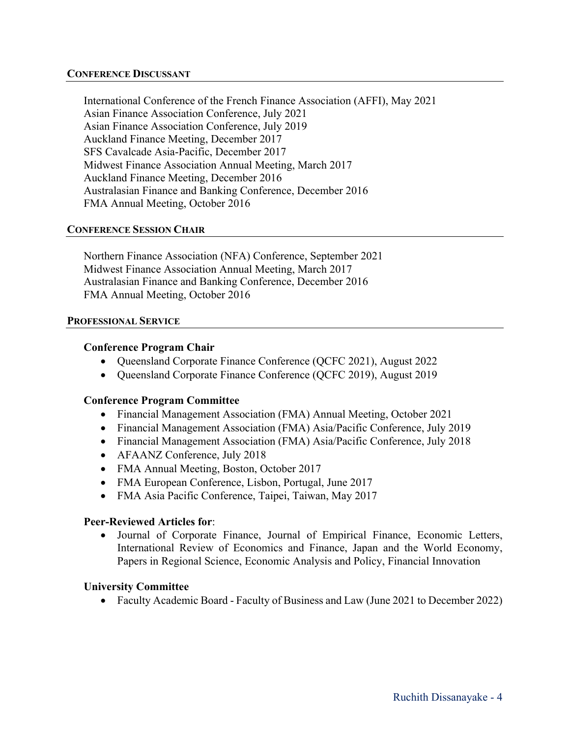## **CONFERENCE DISCUSSANT**

International Conference of the French Finance Association (AFFI), May 2021 Asian Finance Association Conference, July 2021 Asian Finance Association Conference, July 2019 Auckland Finance Meeting, December 2017 SFS Cavalcade Asia-Pacific, December 2017 Midwest Finance Association Annual Meeting, March 2017 Auckland Finance Meeting, December 2016 Australasian Finance and Banking Conference, December 2016 FMA Annual Meeting, October 2016

## **CONFERENCE SESSION CHAIR**

Northern Finance Association (NFA) Conference, September 2021 Midwest Finance Association Annual Meeting, March 2017 Australasian Finance and Banking Conference, December 2016 FMA Annual Meeting, October 2016

#### **PROFESSIONAL SERVICE**

## **Conference Program Chair**

- Queensland Corporate Finance Conference (QCFC 2021), August 2022
- Queensland Corporate Finance Conference (QCFC 2019), August 2019

# **Conference Program Committee**

- Financial Management Association (FMA) Annual Meeting, October 2021
- Financial Management Association (FMA) Asia/Pacific Conference, July 2019
- Financial Management Association (FMA) Asia/Pacific Conference, July 2018
- AFAANZ Conference, July 2018
- FMA Annual Meeting, Boston, October 2017
- FMA European Conference, Lisbon, Portugal, June 2017
- FMA Asia Pacific Conference, Taipei, Taiwan, May 2017

# **Peer-Reviewed Articles for**:

• Journal of Corporate Finance, Journal of Empirical Finance, Economic Letters, International Review of Economics and Finance, Japan and the World Economy, Papers in Regional Science, Economic Analysis and Policy, Financial Innovation

# **University Committee**

• Faculty Academic Board - Faculty of Business and Law (June 2021 to December 2022)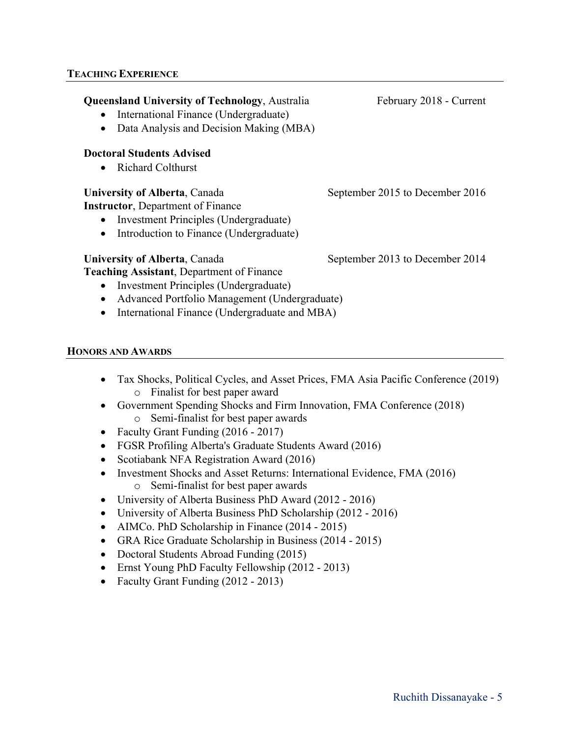# **Queensland University of Technology, Australia February 2018 - Current**

- International Finance (Undergraduate)
- Data Analysis and Decision Making (MBA)

# **Doctoral Students Advised**

• Richard Colthurst

## **University of Alberta**, Canada September 2015 to December 2016

**Instructor**, Department of Finance

- Investment Principles (Undergraduate)
- Introduction to Finance (Undergraduate)

# **University of Alberta**, Canada September 2013 to December 2014

**Teaching Assistant**, Department of Finance

- Investment Principles (Undergraduate)
- Advanced Portfolio Management (Undergraduate)
- International Finance (Undergraduate and MBA)

## **HONORS AND AWARDS**

- Tax Shocks, Political Cycles, and Asset Prices, FMA Asia Pacific Conference (2019) o Finalist for best paper award
- Government Spending Shocks and Firm Innovation, FMA Conference (2018) o Semi-finalist for best paper awards
- Faculty Grant Funding (2016 2017)
- FGSR Profiling Alberta's Graduate Students Award (2016)
- Scotiabank NFA Registration Award (2016)
- Investment Shocks and Asset Returns: International Evidence, FMA (2016) o Semi-finalist for best paper awards
- University of Alberta Business PhD Award (2012 2016)
- University of Alberta Business PhD Scholarship (2012 2016)
- AIMCo. PhD Scholarship in Finance (2014 2015)
- GRA Rice Graduate Scholarship in Business (2014 2015)
- Doctoral Students Abroad Funding (2015)
- Ernst Young PhD Faculty Fellowship (2012 2013)
- Faculty Grant Funding (2012 2013)